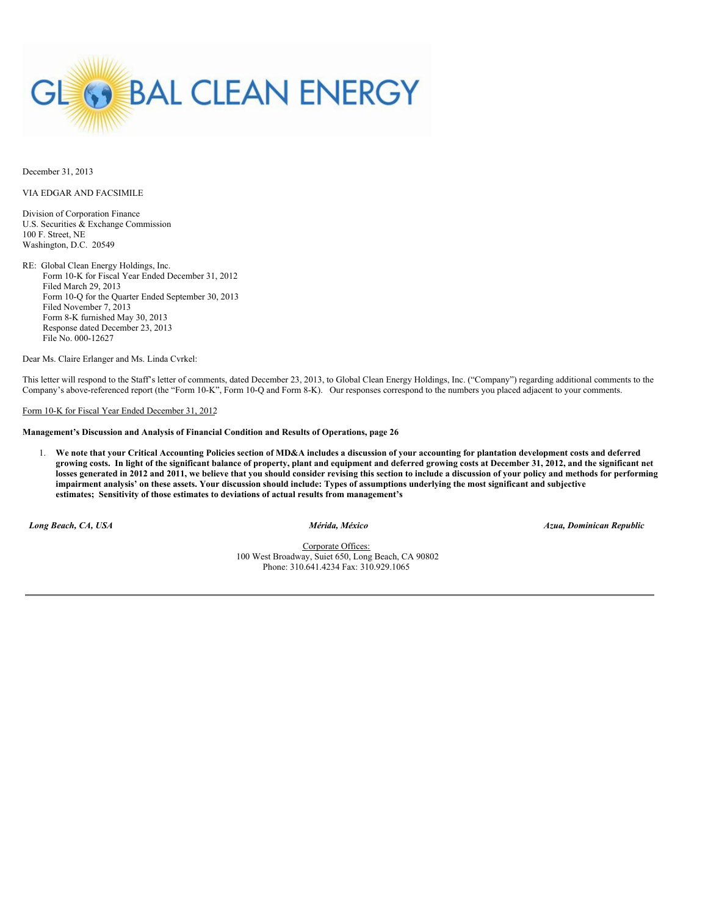

December 31, 2013

VIA EDGAR AND FACSIMILE

Division of Corporation Finance U.S. Securities & Exchange Commission 100 F. Street, NE Washington, D.C. 20549

RE: Global Clean Energy Holdings, Inc. Form 10-K for Fiscal Year Ended December 31, 2012 Filed March 29, 2013 Form 10-Q for the Quarter Ended September 30, 2013 Filed November 7, 2013 Form 8-K furnished May 30, 2013 Response dated December 23, 2013 File No. 000-12627

Dear Ms. Claire Erlanger and Ms. Linda Cvrkel:

This letter will respond to the Staff's letter of comments, dated December 23, 2013, to Global Clean Energy Holdings, Inc. ("Company") regarding additional comments to the Company's above-referenced report (the "Form 10-K", Form 10-Q and Form 8-K). Our responses correspond to the numbers you placed adjacent to your comments.

# Form 10-K for Fiscal Year Ended December 31, 2012

### **Management's Discussion and Analysis of Financial Condition and Results of Operations, page 26**

1. We note that your Critical Accounting Policies section of MD&A includes a discussion of your accounting for plantation development costs and deferred growing costs. In light of the significant balance of property, plant and equipment and deferred growing costs at December 31, 2012, and the significant net losses generated in 2012 and 2011, we believe that you should consider revising this section to include a discussion of your policy and methods for performing impairment analysis' on these assets. Your discussion should include: Types of assumptions underlying the most significant and subjective **estimates; Sensitivity of those estimates to deviations of actual results from management's**

*Long Beach, CA, USA Mérida, México Azua, Dominican Republic*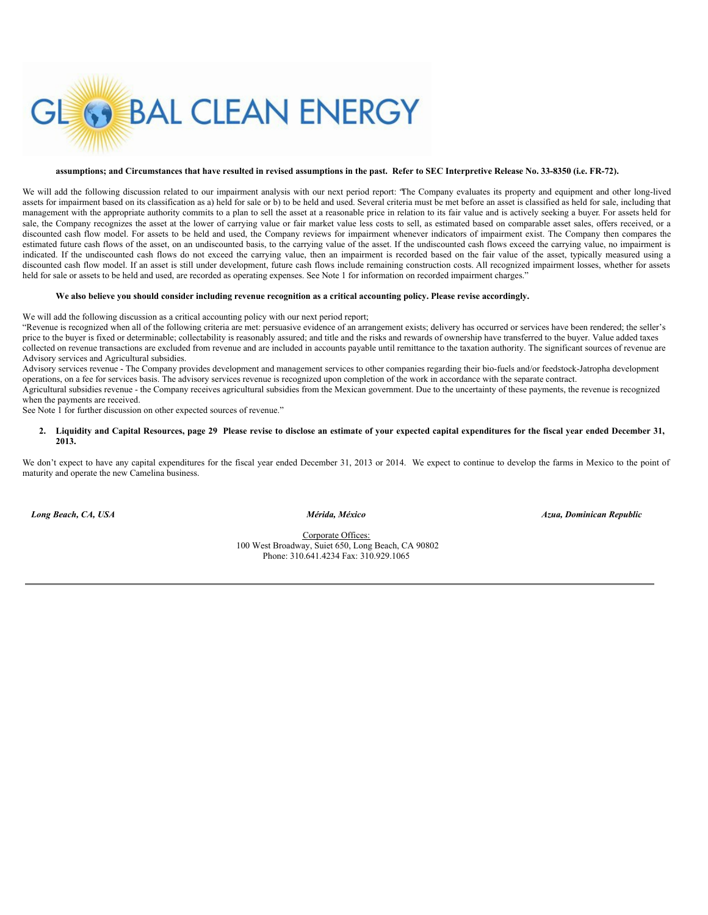

### assumptions; and Circumstances that have resulted in revised assumptions in the past. Refer to SEC Interpretive Release No. 33-8350 (i.e. FR-72).

We will add the following discussion related to our impairment analysis with our next period report: "The Company evaluates its property and equipment and other long-lived assets for impairment based on its classification as a) held for sale or b) to be held and used. Several criteria must be met before an asset is classified as held for sale, including that management with the appropriate authority commits to a plan to sell the asset at a reasonable price in relation to its fair value and is actively seeking a buyer. For assets held for sale, the Company recognizes the asset at the lower of carrying value or fair market value less costs to sell, as estimated based on comparable asset sales, offers received, or a discounted cash flow model. For assets to be held and used, the Company reviews for impairment whenever indicators of impairment exist. The Company then compares the estimated future cash flows of the asset, on an undiscounted basis, to the carrying value of the asset. If the undiscounted cash flows exceed the carrying value, no impairment is indicated. If the undiscounted cash flows do not exceed the carrying value, then an impairment is recorded based on the fair value of the asset, typically measured using a discounted cash flow model. If an asset is still under development, future cash flows include remaining construction costs. All recognized impairment losses, whether for assets held for sale or assets to be held and used, are recorded as operating expenses. See Note 1 for information on recorded impairment charges."

#### We also believe you should consider including revenue recognition as a critical accounting policy. Please revise accordingly.

We will add the following discussion as a critical accounting policy with our next period report;

"Revenue is recognized when all of the following criteria are met: persuasive evidence of an arrangement exists; delivery has occurred or services have been rendered; the seller's price to the buyer is fixed or determinable; collectability is reasonably assured; and title and the risks and rewards of ownership have transferred to the buyer. Value added taxes collected on revenue transactions are excluded from revenue and are included in accounts payable until remittance to the taxation authority. The significant sources of revenue are Advisory services and Agricultural subsidies.

Advisory services revenue - The Company provides development and management services to other companies regarding their bio-fuels and/or feedstock-Jatropha development operations, on a fee for services basis. The advisory services revenue is recognized upon completion of the work in accordance with the separate contract. Agricultural subsidies revenue - the Company receives agricultural subsidies from the Mexican government. Due to the uncertainty of these payments, the revenue is recognized

when the payments are received.

See Note 1 for further discussion on other expected sources of revenue."

### 2. Liquidity and Capital Resources, page 29 Please revise to disclose an estimate of your expected capital expenditures for the fiscal year ended December 31, **2013.**

We don't expect to have any capital expenditures for the fiscal year ended December 31, 2013 or 2014. We expect to continue to develop the farms in Mexico to the point of maturity and operate the new Camelina business.

*Long Beach, CA, USA Mérida, México Azua, Dominican Republic*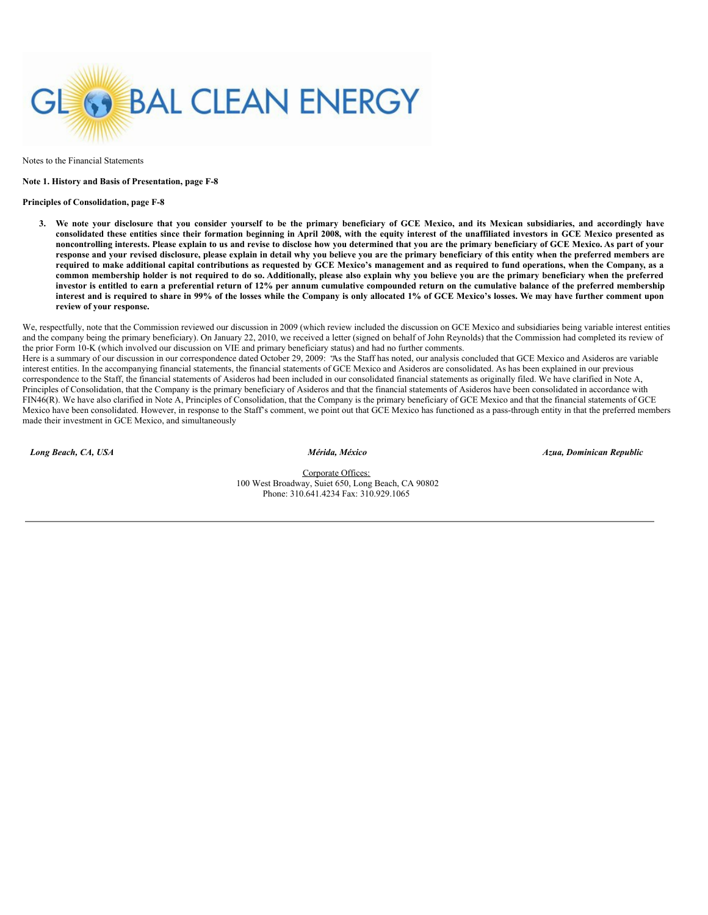

Notes to the Financial Statements

#### **Note 1. History and Basis of Presentation, page F-8**

### **Principles of Consolidation, page F-8**

3. We note your disclosure that you consider yourself to be the primary beneficiary of GCE Mexico, and its Mexican subsidiaries, and accordingly have consolidated these entities since their formation beginning in April 2008, with the equity interest of the unaffiliated investors in GCE Mexico presented as noncontrolling interests. Please explain to us and revise to disclose how you determined that you are the primary beneficiary of GCE Mexico. As part of your response and your revised disclosure, please explain in detail why you believe you are the primary beneficiary of this entity when the preferred members are required to make additional capital contributions as requested by GCE Mexico's management and as required to fund operations, when the Company, as a common membership holder is not required to do so. Additionally, please also explain why you believe you are the primary beneficiary when the preferred investor is entitled to earn a preferential return of 12% per annum cumulative compounded return on the cumulative balance of the preferred membership interest and is required to share in 99% of the losses while the Company is only allocated 1% of GCE Mexico's losses. We may have further comment upon **review of your response.**

We, respectfully, note that the Commission reviewed our discussion in 2009 (which review included the discussion on GCE Mexico and subsidiaries being variable interest entities and the company being the primary beneficiary). On January 22, 2010, we received a letter (signed on behalf of John Reynolds) that the Commission had completed its review of the prior Form 10-K (which involved our discussion on VIE and primary beneficiary status) and had no further comments.

Here is a summary of our discussion in our correspondence dated October 29, 2009: "As the Staff has noted, our analysis concluded that GCE Mexico and Asideros are variable interest entities. In the accompanying financial statements, the financial statements of GCE Mexico and Asideros are consolidated. As has been explained in our previous correspondence to the Staff, the financial statements of Asideros had been included in our consolidated financial statements as originally filed. We have clarified in Note A, Principles of Consolidation, that the Company is the primary beneficiary of Asideros and that the financial statements of Asideros have been consolidated in accordance with FIN46(R). We have also clarified in Note A, Principles of Consolidation, that the Company is the primary beneficiary of GCE Mexico and that the financial statements of GCE Mexico have been consolidated. However, in response to the Staff's comment, we point out that GCE Mexico has functioned as a pass-through entity in that the preferred members made their investment in GCE Mexico, and simultaneously

*Long Beach, CA, USA Mérida, México Azua, Dominican Republic*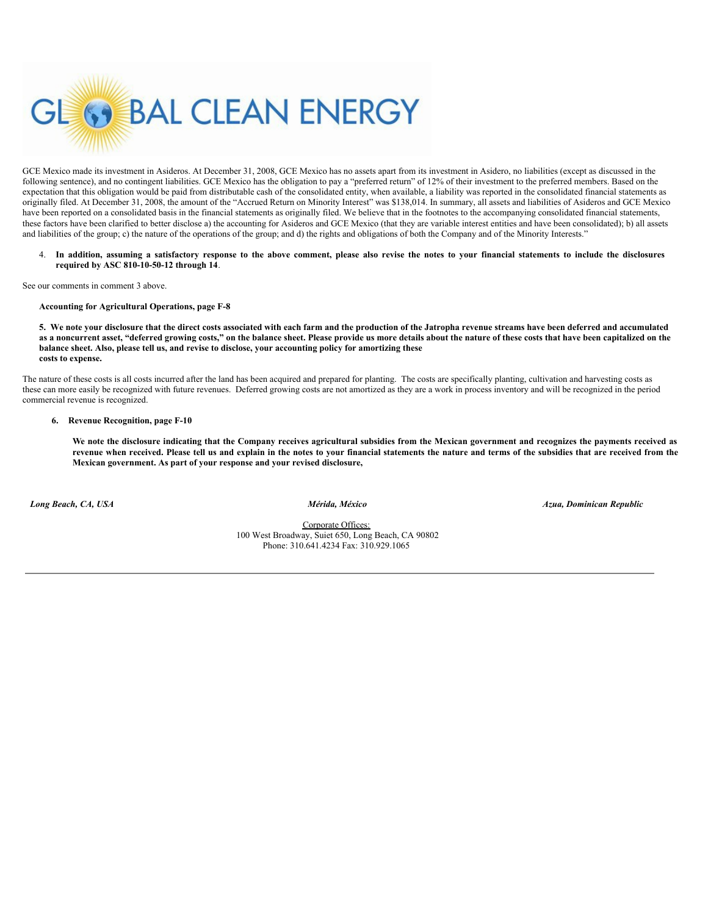

GCE Mexico made its investment in Asideros. At December 31, 2008, GCE Mexico has no assets apart from its investment in Asidero, no liabilities (except as discussed in the following sentence), and no contingent liabilities. GCE Mexico has the obligation to pay a "preferred return" of 12% of their investment to the preferred members. Based on the expectation that this obligation would be paid from distributable cash of the consolidated entity, when available, a liability was reported in the consolidated financial statements as originally filed. At December 31, 2008, the amount of the "Accrued Return on Minority Interest" was \$138,014. In summary, all assets and liabilities of Asideros and GCE Mexico have been reported on a consolidated basis in the financial statements as originally filed. We believe that in the footnotes to the accompanying consolidated financial statements, these factors have been clarified to better disclose a) the accounting for Asideros and GCE Mexico (that they are variable interest entities and have been consolidated); b) all assets and liabilities of the group; c) the nature of the operations of the group; and d) the rights and obligations of both the Company and of the Minority Interests."

4. In addition, assuming a satisfactory response to the above comment, please also revise the notes to your financial statements to include the disclosures **required by ASC 810-10-50-12 through 14**.

See our comments in comment 3 above.

**Accounting for Agricultural Operations, page F-8**

5. We note your disclosure that the direct costs associated with each farm and the production of the Jatropha revenue streams have been deferred and accumulated as a noncurrent asset, "deferred growing costs," on the balance sheet. Please provide us more details about the nature of these costs that have been capitalized on the **balance sheet. Also, please tell us, and revise to disclose, your accounting policy for amortizing these costs to expense.**

The nature of these costs is all costs incurred after the land has been acquired and prepared for planting. The costs are specifically planting, cultivation and harvesting costs as these can more easily be recognized with future revenues. Deferred growing costs are not amortized as they are a work in process inventory and will be recognized in the period commercial revenue is recognized.

# **6. Revenue Recognition, page F-10**

We note the disclosure indicating that the Company receives agricultural subsidies from the Mexican government and recognizes the payments received as revenue when received. Please tell us and explain in the notes to your financial statements the nature and terms of the subsidies that are received from the **Mexican government. As part of your response and your revised disclosure,**

*Long Beach, CA, USA Mérida, México Azua, Dominican Republic*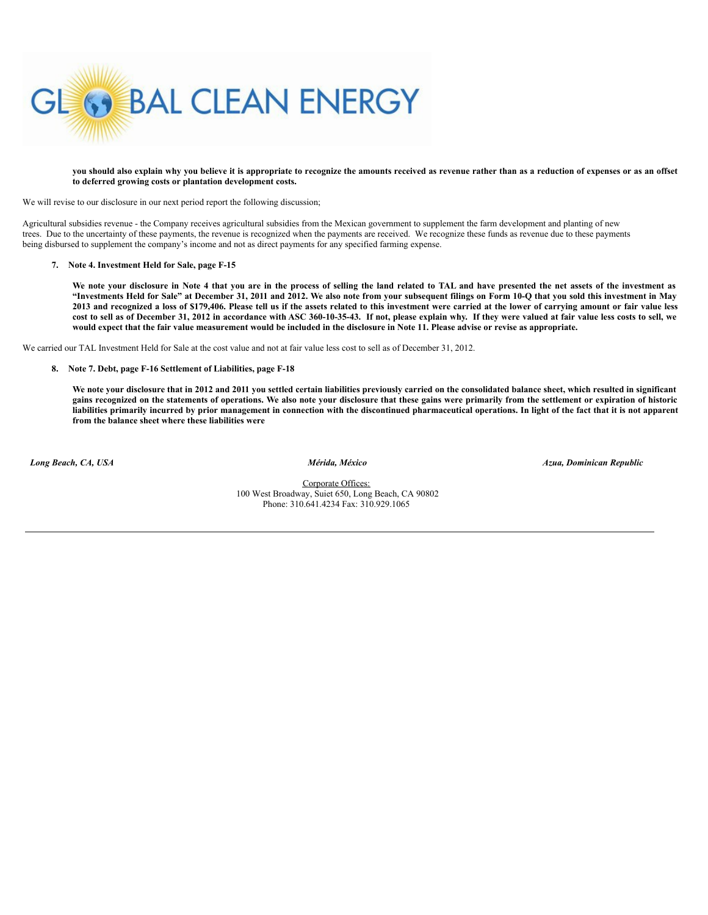

you should also explain why you believe it is appropriate to recognize the amounts received as revenue rather than as a reduction of expenses or as an offset **to deferred growing costs or plantation development costs.**

We will revise to our disclosure in our next period report the following discussion;

Agricultural subsidies revenue - the Company receives agricultural subsidies from the Mexican government to supplement the farm development and planting of new trees. Due to the uncertainty of these payments, the revenue is recognized when the payments are received. We recognize these funds as revenue due to these payments being disbursed to supplement the company's income and not as direct payments for any specified farming expense.

# **7. Note 4. Investment Held for Sale, page F-15**

We note your disclosure in Note 4 that you are in the process of selling the land related to TAL and have presented the net assets of the investment as "Investments Held for Sale" at December 31, 2011 and 2012. We also note from your subsequent filings on Form 10-Q that you sold this investment in May 2013 and recognized a loss of \$179,406. Please tell us if the assets related to this investment were carried at the lower of carrying amount or fair value less cost to sell as of December 31, 2012 in accordance with ASC 360-10-35-43. If not, please explain why. If they were valued at fair value less costs to sell, we would expect that the fair value measurement would be included in the disclosure in Note 11. Please advise or revise as appropriate.

We carried our TAL Investment Held for Sale at the cost value and not at fair value less cost to sell as of December 31, 2012.

### **8. Note 7. Debt, page F-16 Settlement of Liabilities, page F-18**

We note your disclosure that in 2012 and 2011 you settled certain liabilities previously carried on the consolidated balance sheet, which resulted in significant gains recognized on the statements of operations. We also note your disclosure that these gains were primarily from the settlement or expiration of historic liabilities primarily incurred by prior management in connection with the discontinued pharmaceutical operations. In light of the fact that it is not apparent **from the balance sheet where these liabilities were**

*Long Beach, CA, USA Mérida, México Azua, Dominican Republic*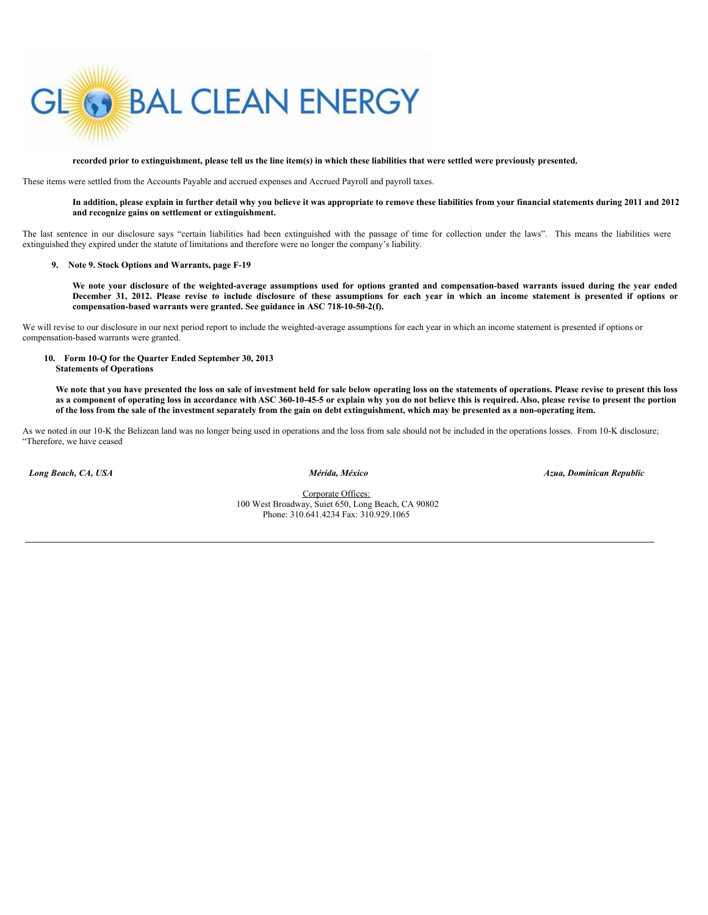

recorded prior to extinguishment, please tell us the line item(s) in which these liabilities that were settled were previously presented.

These items were settled from the Accounts Payable and accrued expenses and Accrued Payroll and payroll taxes.

# In addition, please explain in further detail why you believe it was appropriate to remove these liabilities from your financial statements during 2011 and 2012 **and recognize gains on settlement or extinguishment.**

The last sentence in our disclosure says "certain liabilities had been extinguished with the passage of time for collection under the laws". This means the liabilities were extinguished they expired under the statute of limitations and therefore were no longer the company's liability.

## **9. Note 9. Stock Options and Warrants, page F-19**

We note your disclosure of the weighted-average assumptions used for options granted and compensation-based warrants issued during the year ended December 31, 2012. Please revise to include disclosure of these assumptions for each year in which an income statement is presented if options or **compensation-based warrants were granted. See guidance in ASC 718-10-50-2(f).**

We will revise to our disclosure in our next period report to include the weighted-average assumptions for each year in which an income statement is presented if options or compensation-based warrants were granted.

#### **10. Form 10-Q for the Quarter Ended September 30, 2013 Statements of Operations**

We note that you have presented the loss on sale of investment held for sale below operating loss on the statements of operations. Please revise to present this loss as a component of operating loss in accordance with ASC 360-10-45-5 or explain why you do not believe this is required. Also, please revise to present the portion of the loss from the sale of the investment separately from the gain on debt extinguishment, which may be presented as a non-operating item.

As we noted in our 10-K the Belizean land was no longer being used in operations and the loss from sale should not be included in the operations losses. From 10-K disclosure; "Therefore, we have ceased

*Long Beach, CA, USA Mérida, México Azua, Dominican Republic*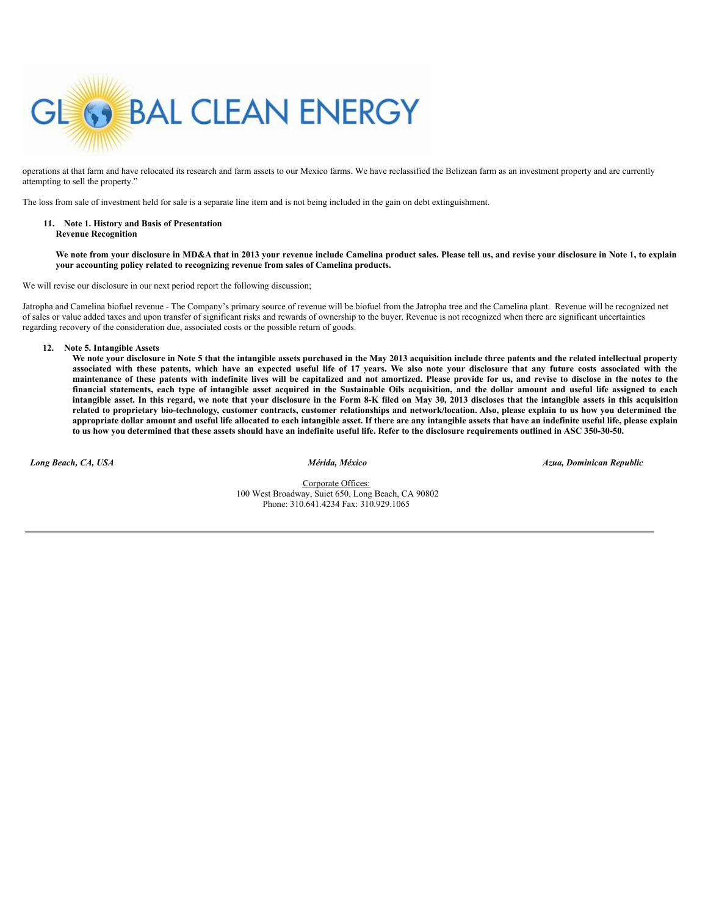

operations at that farm and have relocated its research and farm assets to our Mexico farms. We have reclassified the Belizean farm as an investment property and are currently attempting to sell the property."

The loss from sale of investment held for sale is a separate line item and is not being included in the gain on debt extinguishment.

#### **11. Note 1. History and Basis of Presentation Revenue Recognition**

We note from your disclosure in MD&A that in 2013 your revenue include Camelina product sales. Please tell us, and revise your disclosure in Note 1, to explain **your accounting policy related to recognizing revenue from sales of Camelina products.**

We will revise our disclosure in our next period report the following discussion;

Jatropha and Camelina biofuel revenue - The Company's primary source of revenue will be biofuel from the Jatropha tree and the Camelina plant. Revenue will be recognized net of sales or value added taxes and upon transfer of significant risks and rewards of ownership to the buyer. Revenue is not recognized when there are significant uncertainties regarding recovery of the consideration due, associated costs or the possible return of goods.

**12. Note 5. Intangible Assets**

We note your disclosure in Note 5 that the intangible assets purchased in the May 2013 acquisition include three patents and the related intellectual property associated with these patents, which have an expected useful life of 17 years. We also note your disclosure that any future costs associated with the maintenance of these patents with indefinite lives will be capitalized and not amortized. Please provide for us, and revise to disclose in the notes to the financial statements, each type of intangible asset acquired in the Sustainable Oils acquisition, and the dollar amount and useful life assigned to each intangible asset. In this regard, we note that your disclosure in the Form 8-K filed on May 30, 2013 discloses that the intangible assets in this acquisition related to proprietary bio-technology, customer contracts, customer relationships and network/location. Also, please explain to us how you determined the appropriate dollar amount and useful life allocated to each intangible asset. If there are any intangible assets that have an indefinite useful life, please explain to us how you determined that these assets should have an indefinite useful life. Refer to the disclosure requirements outlined in ASC 350-30-50.

*Long Beach, CA, USA Mérida, México Azua, Dominican Republic*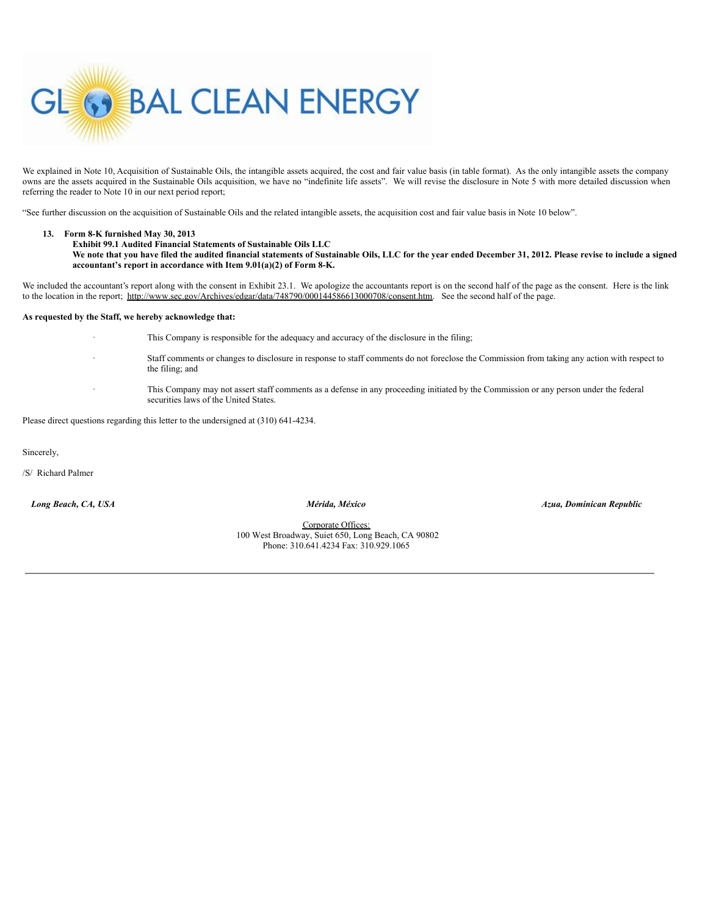

We explained in Note 10, Acquisition of Sustainable Oils, the intangible assets acquired, the cost and fair value basis (in table format). As the only intangible assets the company owns are the assets acquired in the Sustainable Oils acquisition, we have no "indefinite life assets". We will revise the disclosure in Note 5 with more detailed discussion when referring the reader to Note 10 in our next period report;

"See further discussion on the acquisition of Sustainable Oils and the related intangible assets, the acquisition cost and fair value basis in Note 10 below".

# **13. Form 8-K furnished May 30, 2013**

| <b>Exhibit 99.1 Audited Financial Statements of Sustainable Oils LLC</b>                                                                                      |
|---------------------------------------------------------------------------------------------------------------------------------------------------------------|
| We note that you have filed the audited financial statements of Sustainable Oils, LLC for the year ended December 31, 2012. Please revise to include a signed |
| accountant's report in accordance with Item $9.01(a)(2)$ of Form 8-K.                                                                                         |

We included the accountant's report along with the consent in Exhibit 23.1. We apologize the accountants report is on the second half of the page as the consent. Here is the link to the location in the report; http://www.sec.gov/Archives/edgar/data/748790/000144586613000708/consent.htm. See the second half of the page.

### **As requested by the Staff, we hereby acknowledge that:**

This Company is responsible for the adequacy and accuracy of the disclosure in the filing;

- · Staff comments or changes to disclosure in response to staff comments do not foreclose the Commission from taking any action with respect to the filing; and
	- · This Company may not assert staff comments as a defense in any proceeding initiated by the Commission or any person under the federal securities laws of the United States.

Please direct questions regarding this letter to the undersigned at (310) 641-4234.

Sincerely,

/S/ Richard Palmer

*Long Beach, CA, USA Mérida, México Azua, Dominican Republic*